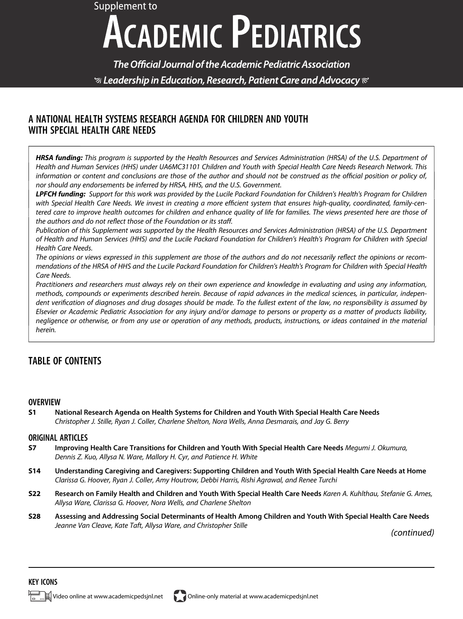# Supplement to **ACADEMIC PEDIATRICS**

The Official Journal of the Academic Pediatric Association  $\mathcal G$  Leadership in Education, Research, Patient Care and Advocacy  $\mathcal C$ 

### A NATIONAL HEALTH SYSTEMS RESEARCH AGENDA FOR CHILDREN AND YOUTH WITH SPECIAL HEALTH CARE NEEDS

HRSA funding: This program is supported by the Health Resources and Services Administration (HRSA) of the U.S. Department of Health and Human Services (HHS) under UA6MC31101 Children and Youth with Special Health Care Needs Research Network. This information or content and conclusions are those of the author and should not be construed as the official position or policy of, nor should any endorsements be inferred by HRSA, HHS, and the U.S. Government.

LPFCH funding: Support for this work was provided by the Lucile Packard Foundation for Children's Health's Program for Children with Special Health Care Needs. We invest in creating a more efficient system that ensures high-quality, coordinated, family-centered care to improve health outcomes for children and enhance quality of life for families. The views presented here are those of the authors and do not reflect those of the Foundation or its staff.

Publication of this Supplement was supported by the Health Resources and Services Administration (HRSA) of the U.S. Department of Health and Human Services (HHS) and the Lucile Packard Foundation for Children's Health's Program for Children with Special Health Care Needs.

The opinions or views expressed in this supplement are those of the authors and do not necessarily reflect the opinions or recommendations of the HRSA of HHS and the Lucile Packard Foundation for Children's Health's Program for Children with Special Health Care Needs.

Practitioners and researchers must always rely on their own experience and knowledge in evaluating and using any information, methods, compounds or experiments described herein. Because of rapid advances in the medical sciences, in particular, independent verification of diagnoses and drug dosages should be made. To the fullest extent of the law, no responsibility is assumed by Elsevier or Academic Pediatric Association for any injury and/or damage to persons or property as a matter of products liability, negligence or otherwise, or from any use or operation of any methods, products, instructions, or ideas contained in the material herein.

## TABLE OF CONTENTS

#### **OVERVIEW**

S1 National Research Agenda on Health Systems for Children and Youth With Special Health Care Needs Christopher J. Stille, Ryan J. Coller, Charlene Shelton, Nora Wells, Anna Desmarais, and Jay G. Berry

#### ORIGINAL ARTICLES

- S7 Improving Health Care Transitions for Children and Youth With Special Health Care Needs Megumi J. Okumura, Dennis Z. Kuo, Allysa N. Ware, Mallory H. Cyr, and Patience H. White
- S14 Understanding Caregiving and Caregivers: Supporting Children and Youth With Special Health Care Needs at Home Clarissa G. Hoover, Ryan J. Coller, Amy Houtrow, Debbi Harris, Rishi Agrawal, and Renee Turchi
- S22 Research on Family Health and Children and Youth With Special Health Care Needs Karen A. Kuhlthau, Stefanie G. Ames, Allysa Ware, Clarissa G. Hoover, Nora Wells, and Charlene Shelton
- S28 Assessing and Addressing Social Determinants of Health Among Children and Youth With Special Health Care Needs Jeanne Van Cleave, Kate Taft, Allysa Ware, and Christopher Stille

(continued)

#### KEY ICONS